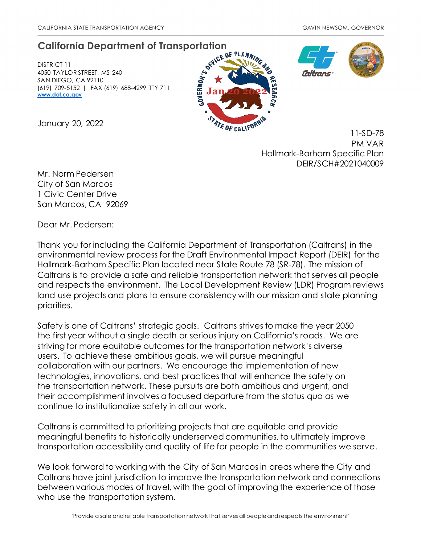# **California Department of Transportation**

DISTRICT 11 4050 TAYLOR STREET, MS-240 SAN DIEGO, CA 92110 (619) 709-5152 | FAX (619) 688-4299 TTY 711 **[www.dot.ca.gov](http://www.dot.ca.gov/)**







11-SD-78 PM VAR Hallmark-Barham Specific Plan DEIR/SCH#2021040009

January 20, 2022

Mr. Norm Pedersen City of San Marcos 1 Civic Center Drive San Marcos, CA 92069

Dear Mr. Pedersen:

Thank you for including the California Department of Transportation (Caltrans) in the environmental review process for the Draft Environmental Impact Report (DEIR) for the Hallmark-Barham Specific Plan located near State Route 78 (SR-78). The mission of Caltrans is to provide a safe and reliable transportation network that serves all people and respects the environment. The Local Development Review (LDR) Program reviews land use projects and plans to ensure consistency with our mission and state planning priorities.

Safety is one of Caltrans' strategic goals. Caltrans strives to make the year 2050 the first year without a single death or serious injury on California's roads. We are striving for more equitable outcomes for the transportation network's diverse users. To achieve these ambitious goals, we will pursue meaningful collaboration with our partners. We encourage the implementation of new technologies, innovations, and best practices that will enhance the safety on the transportation network. These pursuits are both ambitious and urgent, and their accomplishment involves a focused departure from the status quo as we continue to institutionalize safety in all our work.

Caltrans is committed to prioritizing projects that are equitable and provide meaningful benefits to historically underserved communities, to ultimately improve transportation accessibility and quality of life for people in the communities we serve.

We look forward to working with the City of San Marcos in areas where the City and Caltrans have joint jurisdiction to improve the transportation network and connections between various modes of travel, with the goal of improving the experience of those who use the transportation system.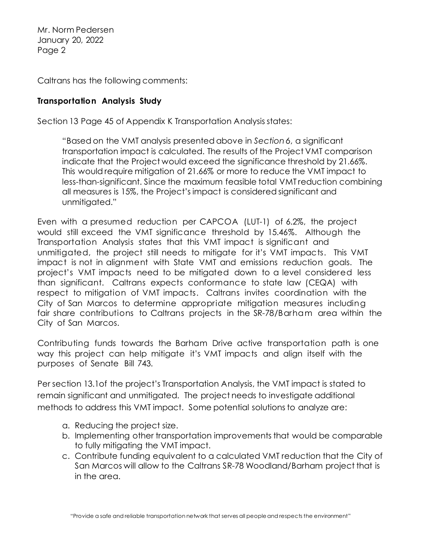Caltrans has the following comments:

### **Transportation Analysis Study**

Section 13 Page 45 of Appendix K Transportation Analysis states:

"Based on the VMT analysis presented above in *Section 6*, a significant transportation impact is calculated. The results of the Project VMT comparison indicate that the Project would exceed the significance threshold by 21.66%. This would require mitigation of 21.66% or more to reduce the VMT impact to less-than-significant. Since the maximum feasible total VMT reduction combining all measures is 15%, the Project's impact is considered significant and unmitigated."

Even with a presumed reduction per CAPCOA (LUT-1) of 6.2%, the project would still exceed the VMT significance threshold by 15.46%. Although the Transportation Analysis states that this VMT impact is significant and unmitigated, the project still needs to mitigate for it's VMT impacts. This VMT impact is not in alignment with State VMT and emissions reduction goals. The project's VMT impacts need to be mitigated down to a level considered less than significant. Caltrans expects conformance to state law (CEQA) with respect to mitigation of VMT impacts. Caltrans invites coordination with the City of San Marcos to determine appropriate mitigation measures including fair share contributions to Caltrans projects in the SR-78/Barham area within the City of San Marcos.

Contributing funds towards the Barham Drive active transportation path is one way this project can help mitigate it's VMT impacts and align itself with the purposes of Senate Bill 743.

Per section 13.1of the project's Transportation Analysis, the VMT impact is stated to remain significant and unmitigated. The project needs to investigate additional methods to address this VMT impact. Some potential solutions to analyze are:

- a. Reducing the project size.
- b. Implementing other transportation improvements that would be comparable to fully mitigating the VMT impact.
- c. Contribute funding equivalent to a calculated VMT reduction that the City of San Marcos will allow to the Caltrans SR-78 Woodland/Barham project that is in the area.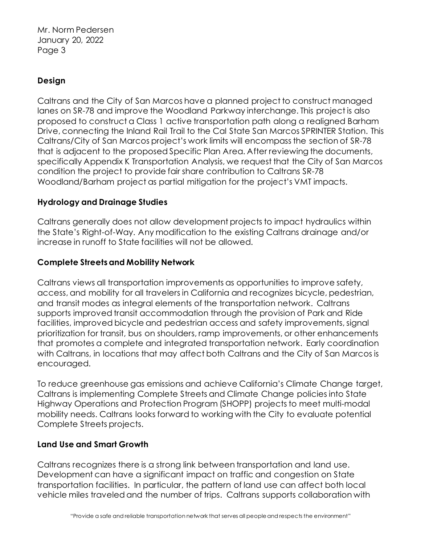## **Design**

Caltrans and the City of San Marcos have a planned project to construct managed lanes on SR-78 and improve the Woodland Parkway interchange. This project is also proposed to construct a Class 1 active transportation path along a realigned Barham Drive, connecting the Inland Rail Trail to the Cal State San Marcos SPRINTER Station. This Caltrans/City of San Marcos project's work limits will encompass the section of SR-78 that is adjacent to the proposed Specific Plan Area. After reviewing the documents, specifically Appendix K Transportation Analysis, we request that the City of San Marcos condition the project to provide fair share contribution to Caltrans SR-78 Woodland/Barham project as partial mitigation for the project's VMT impacts.

### **Hydrology and Drainage Studies**

Caltrans generally does not allow development projects to impact hydraulics within the State's Right-of-Way. Any modification to the existing Caltrans drainage and/or increase in runoff to State facilities will not be allowed.

### **Complete Streets and Mobility Network**

Caltrans views all transportation improvements as opportunities to improve safety, access, and mobility for all travelers in California and recognizes bicycle, pedestrian, and transit modes as integral elements of the transportation network. Caltrans supports improved transit accommodation through the provision of Park and Ride facilities, improved bicycle and pedestrian access and safety improvements, signal prioritization for transit, bus on shoulders, ramp improvements, or other enhancements that promotes a complete and integrated transportation network. Early coordination with Caltrans, in locations that may affect both Caltrans and the City of San Marcos is encouraged.

To reduce greenhouse gas emissions and achieve California's Climate Change target, Caltrans is implementing Complete Streets and Climate Change policies into State Highway Operations and Protection Program (SHOPP) projects to meet multi-modal mobility needs. Caltrans looks forward to working with the City to evaluate potential Complete Streets projects.

#### **Land Use and Smart Growth**

Caltrans recognizes there is a strong link between transportation and land use. Development can have a significant impact on traffic and congestion on State transportation facilities. In particular, the pattern of land use can affect both local vehicle miles traveled and the number of trips. Caltrans supports collaboration with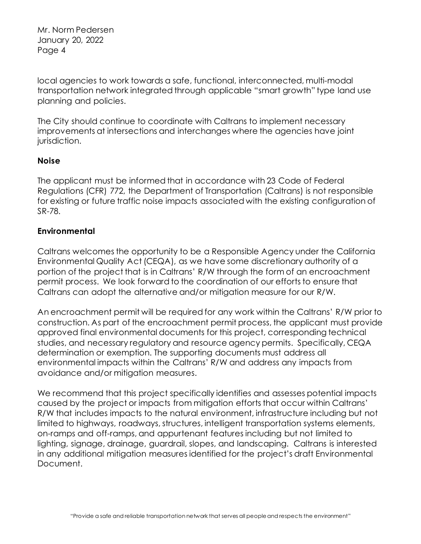local agencies to work towards a safe, functional, interconnected, multi-modal transportation network integrated through applicable "smart growth" type land use planning and policies.

The City should continue to coordinate with Caltrans to implement necessary improvements at intersections and interchanges where the agencies have joint jurisdiction.

#### **Noise**

The applicant must be informed that in accordance with 23 Code of Federal Regulations (CFR) 772, the Department of Transportation (Caltrans) is not responsible for existing or future traffic noise impacts associated with the existing configuration of SR-78.

### **Environmental**

Caltrans welcomes the opportunity to be a Responsible Agency under the California Environmental Quality Act (CEQA), as we have some discretionary authority of a portion of the project that is in Caltrans' R/W through the form of an encroachment permit process. We look forward to the coordination of our efforts to ensure that Caltrans can adopt the alternative and/or mitigation measure for our R/W.

An encroachment permit will be required for any work within the Caltrans' R/W prior to construction. As part of the encroachment permit process, the applicant must provide approved final environmental documents for this project, corresponding technical studies, and necessary regulatory and resource agency permits. Specifically, CEQA determination or exemption. The supporting documents must address all environmental impacts within the Caltrans' R/W and address any impacts from avoidance and/or mitigation measures.

We recommend that this project specifically identifies and assesses potential impacts caused by the project or impacts from mitigation efforts that occur within Caltrans' R/W that includes impacts to the natural environment, infrastructure including but not limited to highways, roadways, structures, intelligent transportation systems elements, on-ramps and off-ramps, and appurtenant features including but not limited to lighting, signage, drainage, guardrail, slopes, and landscaping. Caltrans is interested in any additional mitigation measures identified for the project's draft Environmental Document.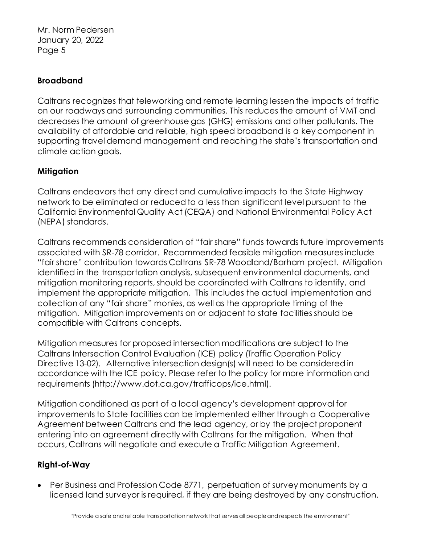## **Broadband**

Caltrans recognizes that teleworking and remote learning lessen the impacts of traffic on our roadways and surrounding communities. This reduces the amount of VMT and decreases the amount of greenhouse gas (GHG) emissions and other pollutants. The availability of affordable and reliable, high speed broadband is a key component in supporting travel demand management and reaching the state's transportation and climate action goals.

## **Mitigation**

Caltrans endeavors that any direct and cumulative impacts to the State Highway network to be eliminated or reduced to a less than significant level pursuant to the California Environmental Quality Act (CEQA) and National Environmental Policy Act (NEPA) standards.

Caltrans recommends consideration of "fair share" funds towards future improvements associated with SR-78 corridor. Recommended feasible mitigation measures include "fair share" contribution towards Caltrans SR-78 Woodland/Barham project. Mitigation identified in the transportation analysis, subsequent environmental documents, and mitigation monitoring reports, should be coordinated with Caltrans to identify, and implement the appropriate mitigation. This includes the actual implementation and collection of any "fair share" monies, as well as the appropriate timing of the mitigation. Mitigation improvements on or adjacent to state facilities should be compatible with Caltrans concepts.

Mitigation measures for proposed intersection modifications are subject to the Caltrans Intersection Control Evaluation (ICE) policy (Traffic Operation Policy Directive 13-02). Alternative intersection design(s) will need to be considered in accordance with the ICE policy. Please refer to the policy for more information and requirements (http://www.dot.ca.gov/trafficops/ice.html).

Mitigation conditioned as part of a local agency's development approval for improvements to State facilities can be implemented either through a Cooperative Agreement between Caltrans and the lead agency, or by the project proponent entering into an agreement directly with Caltrans for the mitigation. When that occurs, Caltrans will negotiate and execute a Traffic Mitigation Agreement.

## **Right-of-Way**

• Per Business and Profession Code 8771, perpetuation of survey monuments by a licensed land surveyor is required, if they are being destroyed by any construction.